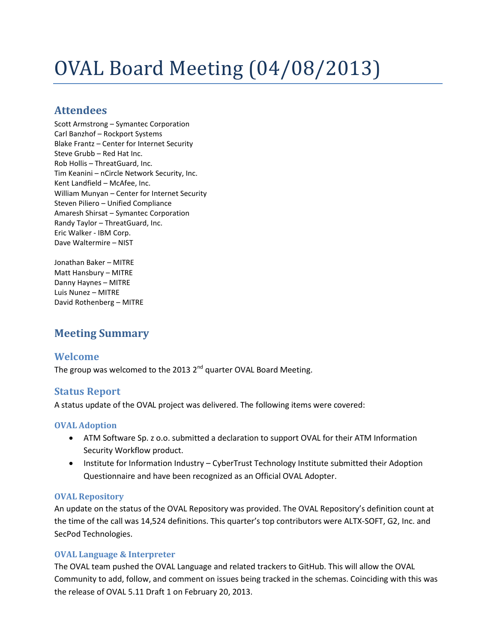# OVAL Board Meeting (04/08/2013)

# **Attendees**

Scott Armstrong – Symantec Corporation Carl Banzhof – Rockport Systems Blake Frantz – Center for Internet Security Steve Grubb – Red Hat Inc. Rob Hollis – ThreatGuard, Inc. Tim Keanini – nCircle Network Security, Inc. Kent Landfield – McAfee, Inc. William Munyan – Center for Internet Security Steven Piliero – Unified Compliance Amaresh Shirsat – Symantec Corporation Randy Taylor – ThreatGuard, Inc. Eric Walker - IBM Corp. Dave Waltermire – NIST

Jonathan Baker – MITRE Matt Hansbury – MITRE Danny Haynes – MITRE Luis Nunez – MITRE David Rothenberg – MITRE

# **Meeting Summary**

### **Welcome**

The group was welcomed to the 2013 2<sup>nd</sup> quarter OVAL Board Meeting.

#### **Status Report**

A status update of the OVAL project was delivered. The following items were covered:

#### **OVAL Adoption**

- ATM Software Sp. z o.o. submitted a declaration to support OVAL for their ATM Information Security Workflow product.
- Institute for Information Industry CyberTrust Technology Institute submitted their Adoption Questionnaire and have been recognized as an Official OVAL Adopter.

#### **OVAL Repository**

An update on the status of the OVAL Repository was provided. The OVAL Repository's definition count at the time of the call was 14,524 definitions. This quarter's top contributors were ALTX-SOFT, G2, Inc. and SecPod Technologies.

#### **OVAL Language & Interpreter**

The OVAL team pushed the OVAL Language and related trackers to GitHub. This will allow the OVAL Community to add, follow, and comment on issues being tracked in the schemas. Coinciding with this was the release of OVAL 5.11 Draft 1 on February 20, 2013.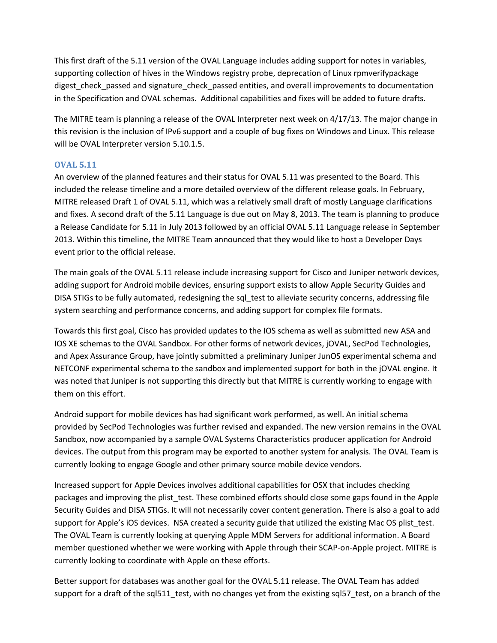This first draft of the 5.11 version of the OVAL Language includes adding support for notes in variables, supporting collection of hives in the Windows registry probe, deprecation of Linux rpmverifypackage digest check passed and signature check passed entities, and overall improvements to documentation in the Specification and OVAL schemas. Additional capabilities and fixes will be added to future drafts.

The MITRE team is planning a release of the OVAL Interpreter next week on 4/17/13. The major change in this revision is the inclusion of IPv6 support and a couple of bug fixes on Windows and Linux. This release will be OVAL Interpreter version 5.10.1.5.

#### **OVAL 5.11**

An overview of the planned features and their status for OVAL 5.11 was presented to the Board. This included the release timeline and a more detailed overview of the different release goals. In February, MITRE released Draft 1 of OVAL 5.11, which was a relatively small draft of mostly Language clarifications and fixes. A second draft of the 5.11 Language is due out on May 8, 2013. The team is planning to produce a Release Candidate for 5.11 in July 2013 followed by an official OVAL 5.11 Language release in September 2013. Within this timeline, the MITRE Team announced that they would like to host a Developer Days event prior to the official release.

The main goals of the OVAL 5.11 release include increasing support for Cisco and Juniper network devices, adding support for Android mobile devices, ensuring support exists to allow Apple Security Guides and DISA STIGs to be fully automated, redesigning the sql\_test to alleviate security concerns, addressing file system searching and performance concerns, and adding support for complex file formats.

Towards this first goal, Cisco has provided updates to the IOS schema as well as submitted new ASA and IOS XE schemas to the OVAL Sandbox. For other forms of network devices, jOVAL, SecPod Technologies, and Apex Assurance Group, have jointly submitted a preliminary Juniper JunOS experimental schema and NETCONF experimental schema to the sandbox and implemented support for both in the jOVAL engine. It was noted that Juniper is not supporting this directly but that MITRE is currently working to engage with them on this effort.

Android support for mobile devices has had significant work performed, as well. An initial schema provided by SecPod Technologies was further revised and expanded. The new version remains in the OVAL Sandbox, now accompanied by a sample OVAL Systems Characteristics producer application for Android devices. The output from this program may be exported to another system for analysis. The OVAL Team is currently looking to engage Google and other primary source mobile device vendors.

Increased support for Apple Devices involves additional capabilities for OSX that includes checking packages and improving the plist\_test. These combined efforts should close some gaps found in the Apple Security Guides and DISA STIGs. It will not necessarily cover content generation. There is also a goal to add support for Apple's iOS devices. NSA created a security guide that utilized the existing Mac OS plist\_test. The OVAL Team is currently looking at querying Apple MDM Servers for additional information. A Board member questioned whether we were working with Apple through their SCAP-on-Apple project. MITRE is currently looking to coordinate with Apple on these efforts.

Better support for databases was another goal for the OVAL 5.11 release. The OVAL Team has added support for a draft of the sql511 test, with no changes yet from the existing sql57 test, on a branch of the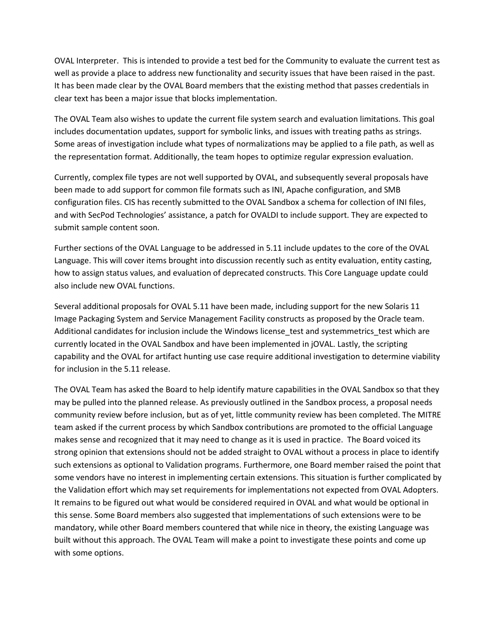OVAL Interpreter. This is intended to provide a test bed for the Community to evaluate the current test as well as provide a place to address new functionality and security issues that have been raised in the past. It has been made clear by the OVAL Board members that the existing method that passes credentials in clear text has been a major issue that blocks implementation.

The OVAL Team also wishes to update the current file system search and evaluation limitations. This goal includes documentation updates, support for symbolic links, and issues with treating paths as strings. Some areas of investigation include what types of normalizations may be applied to a file path, as well as the representation format. Additionally, the team hopes to optimize regular expression evaluation.

Currently, complex file types are not well supported by OVAL, and subsequently several proposals have been made to add support for common file formats such as INI, Apache configuration, and SMB configuration files. CIS has recently submitted to the OVAL Sandbox a schema for collection of INI files, and with SecPod Technologies' assistance, a patch for OVALDI to include support. They are expected to submit sample content soon.

Further sections of the OVAL Language to be addressed in 5.11 include updates to the core of the OVAL Language. This will cover items brought into discussion recently such as entity evaluation, entity casting, how to assign status values, and evaluation of deprecated constructs. This Core Language update could also include new OVAL functions.

Several additional proposals for OVAL 5.11 have been made, including support for the new Solaris 11 Image Packaging System and Service Management Facility constructs as proposed by the Oracle team. Additional candidates for inclusion include the Windows license test and systemmetrics test which are currently located in the OVAL Sandbox and have been implemented in jOVAL. Lastly, the scripting capability and the OVAL for artifact hunting use case require additional investigation to determine viability for inclusion in the 5.11 release.

The OVAL Team has asked the Board to help identify mature capabilities in the OVAL Sandbox so that they may be pulled into the planned release. As previously outlined in the Sandbox process, a proposal needs community review before inclusion, but as of yet, little community review has been completed. The MITRE team asked if the current process by which Sandbox contributions are promoted to the official Language makes sense and recognized that it may need to change as it is used in practice. The Board voiced its strong opinion that extensions should not be added straight to OVAL without a process in place to identify such extensions as optional to Validation programs. Furthermore, one Board member raised the point that some vendors have no interest in implementing certain extensions. This situation is further complicated by the Validation effort which may set requirements for implementations not expected from OVAL Adopters. It remains to be figured out what would be considered required in OVAL and what would be optional in this sense. Some Board members also suggested that implementations of such extensions were to be mandatory, while other Board members countered that while nice in theory, the existing Language was built without this approach. The OVAL Team will make a point to investigate these points and come up with some options.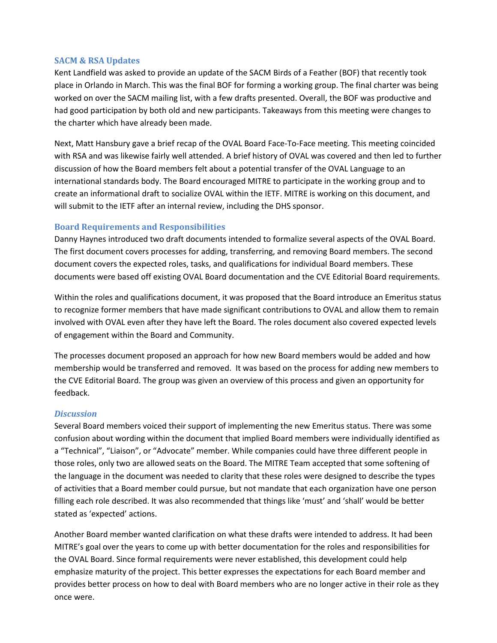#### **SACM & RSA Updates**

Kent Landfield was asked to provide an update of the SACM Birds of a Feather (BOF) that recently took place in Orlando in March. This was the final BOF for forming a working group. The final charter was being worked on over the SACM mailing list, with a few drafts presented. Overall, the BOF was productive and had good participation by both old and new participants. Takeaways from this meeting were changes to the charter which have already been made.

Next, Matt Hansbury gave a brief recap of the OVAL Board Face-To-Face meeting. This meeting coincided with RSA and was likewise fairly well attended. A brief history of OVAL was covered and then led to further discussion of how the Board members felt about a potential transfer of the OVAL Language to an international standards body. The Board encouraged MITRE to participate in the working group and to create an informational draft to socialize OVAL within the IETF. MITRE is working on this document, and will submit to the IETF after an internal review, including the DHS sponsor.

#### **Board Requirements and Responsibilities**

Danny Haynes introduced two draft documents intended to formalize several aspects of the OVAL Board. The first document covers processes for adding, transferring, and removing Board members. The second document covers the expected roles, tasks, and qualifications for individual Board members. These documents were based off existing OVAL Board documentation and the CVE Editorial Board requirements.

Within the roles and qualifications document, it was proposed that the Board introduce an Emeritus status to recognize former members that have made significant contributions to OVAL and allow them to remain involved with OVAL even after they have left the Board. The roles document also covered expected levels of engagement within the Board and Community.

The processes document proposed an approach for how new Board members would be added and how membership would be transferred and removed. It was based on the process for adding new members to the CVE Editorial Board. The group was given an overview of this process and given an opportunity for feedback.

#### *Discussion*

Several Board members voiced their support of implementing the new Emeritus status. There was some confusion about wording within the document that implied Board members were individually identified as a "Technical", "Liaison", or "Advocate" member. While companies could have three different people in those roles, only two are allowed seats on the Board. The MITRE Team accepted that some softening of the language in the document was needed to clarity that these roles were designed to describe the types of activities that a Board member could pursue, but not mandate that each organization have one person filling each role described. It was also recommended that things like 'must' and 'shall' would be better stated as 'expected' actions.

Another Board member wanted clarification on what these drafts were intended to address. It had been MITRE's goal over the years to come up with better documentation for the roles and responsibilities for the OVAL Board. Since formal requirements were never established, this development could help emphasize maturity of the project. This better expresses the expectations for each Board member and provides better process on how to deal with Board members who are no longer active in their role as they once were.